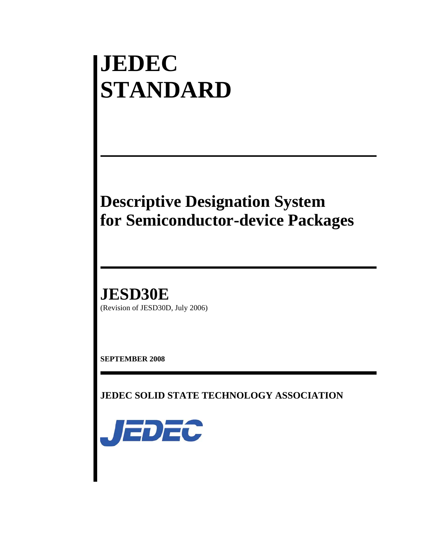# **JEDEC STANDARD**

## **Descriptive Designation System for Semiconductor-device Packages**

**JESD30E** (Revision of JESD30D, July 2006)

**SEPTEMBER 2008** 

**JEDEC SOLID STATE TECHNOLOGY ASSOCIATION** 

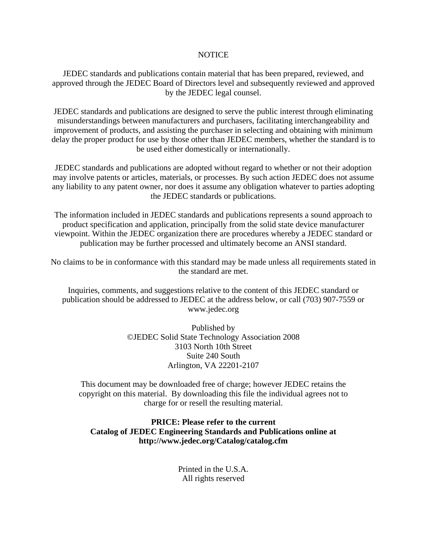#### **NOTICE**

JEDEC standards and publications contain material that has been prepared, reviewed, and approved through the JEDEC Board of Directors level and subsequently reviewed and approved by the JEDEC legal counsel.

JEDEC standards and publications are designed to serve the public interest through eliminating misunderstandings between manufacturers and purchasers, facilitating interchangeability and improvement of products, and assisting the purchaser in selecting and obtaining with minimum delay the proper product for use by those other than JEDEC members, whether the standard is to be used either domestically or internationally.

JEDEC standards and publications are adopted without regard to whether or not their adoption may involve patents or articles, materials, or processes. By such action JEDEC does not assume any liability to any patent owner, nor does it assume any obligation whatever to parties adopting the JEDEC standards or publications.

The information included in JEDEC standards and publications represents a sound approach to product specification and application, principally from the solid state device manufacturer viewpoint. Within the JEDEC organization there are procedures whereby a JEDEC standard or publication may be further processed and ultimately become an ANSI standard.

No claims to be in conformance with this standard may be made unless all requirements stated in the standard are met.

Inquiries, comments, and suggestions relative to the content of this JEDEC standard or publication should be addressed to JEDEC at the address below, or call (703) 907-7559 or www.jedec.org

> Published by ©JEDEC Solid State Technology Association 2008 3103 North 10th Street Suite 240 South Arlington, VA 22201-2107

This document may be downloaded free of charge; however JEDEC retains the copyright on this material. By downloading this file the individual agrees not to charge for or resell the resulting material.

#### **PRICE: Please refer to the current Catalog of JEDEC Engineering Standards and Publications online at http://www.jedec.org/Catalog/catalog.cfm**

Printed in the U.S.A. All rights reserved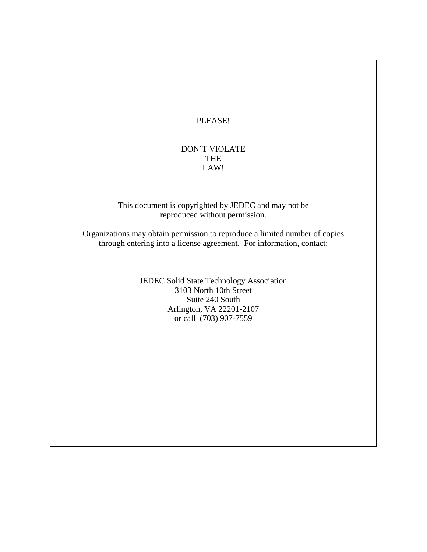PLEASE!

#### DON'T VIOLATE THE LAW!

This document is copyrighted by JEDEC and may not be reproduced without permission.

Organizations may obtain permission to reproduce a limited number of copies through entering into a license agreement. For information, contact:

> JEDEC Solid State Technology Association 3103 North 10th Street Suite 240 South Arlington, VA 22201-2107 or call (703) 907-7559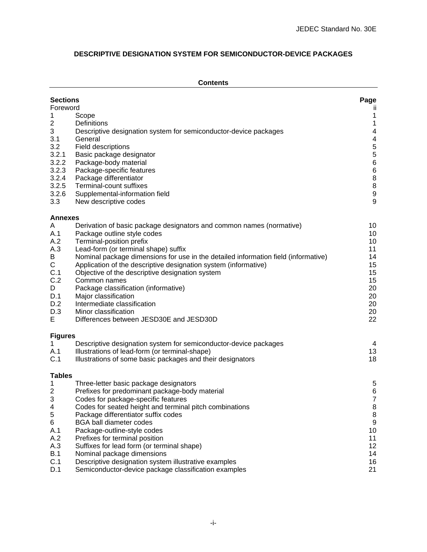#### **DESCRIPTIVE DESIGNATION SYSTEM FOR SEMICONDUCTOR-DEVICE PACKAGES**

#### **Contents**

| <b>Sections</b><br>Foreword<br>1<br>2<br>3<br>3.1<br>3.2<br>3.2.1<br>3.2.2<br>3.2.3<br>3.2.4<br>3.2.5<br>3.2.6<br>3.3 | Scope<br>Definitions<br>Descriptive designation system for semiconductor-device packages<br>General<br>Field descriptions<br>Basic package designator<br>Package-body material<br>Package-specific features<br>Package differentiator<br>Terminal-count suffixes<br>Supplemental-information field<br>New descriptive codes                                                                                                                                                                                                                                           | Page<br>Ш<br>$\mathbf{1}$<br>$\mathbf{1}$<br>$\overline{4}$<br>$\overline{\mathcal{A}}$<br>$\frac{5}{5}$<br>$\,6$<br>$\,6$<br>$\bf 8$<br>$\bf 8$<br>$\begin{array}{c} 9 \\ 9 \end{array}$ |
|-----------------------------------------------------------------------------------------------------------------------|-----------------------------------------------------------------------------------------------------------------------------------------------------------------------------------------------------------------------------------------------------------------------------------------------------------------------------------------------------------------------------------------------------------------------------------------------------------------------------------------------------------------------------------------------------------------------|-------------------------------------------------------------------------------------------------------------------------------------------------------------------------------------------|
| Annexes                                                                                                               |                                                                                                                                                                                                                                                                                                                                                                                                                                                                                                                                                                       |                                                                                                                                                                                           |
| Α<br>A.1<br>A.2<br>A.3<br>B<br>$\mathsf C$<br>C.1<br>C.2<br>D<br>D.1<br>D.2<br>D.3<br>Е                               | Derivation of basic package designators and common names (normative)<br>Package outline style codes<br>Terminal-position prefix<br>Lead-form (or terminal shape) suffix<br>Nominal package dimensions for use in the detailed information field (informative)<br>Application of the descriptive designation system (informative)<br>Objective of the descriptive designation system<br>Common names<br>Package classification (informative)<br>Major classification<br>Intermediate classification<br>Minor classification<br>Differences between JESD30E and JESD30D | 10<br>10<br>10<br>11<br>14<br>15<br>15<br>15<br>20<br>20<br>20<br>20<br>22                                                                                                                |
| <b>Figures</b>                                                                                                        |                                                                                                                                                                                                                                                                                                                                                                                                                                                                                                                                                                       |                                                                                                                                                                                           |
| 1.<br>A.1<br>C.1                                                                                                      | Descriptive designation system for semiconductor-device packages<br>Illustrations of lead-form (or terminal-shape)<br>Illustrations of some basic packages and their designators                                                                                                                                                                                                                                                                                                                                                                                      | 4<br>13<br>18                                                                                                                                                                             |
| <b>Tables</b>                                                                                                         |                                                                                                                                                                                                                                                                                                                                                                                                                                                                                                                                                                       |                                                                                                                                                                                           |
| 1<br>2<br>3<br>4<br>5<br>6<br>A.1<br>A.2<br>A.3<br><b>B.1</b><br>C.1<br>D.1                                           | Three-letter basic package designators<br>Prefixes for predominant package-body material<br>Codes for package-specific features<br>Codes for seated height and terminal pitch combinations<br>Package differentiator suffix codes<br><b>BGA ball diameter codes</b><br>Package-outline-style codes<br>Prefixes for terminal position<br>Suffixes for lead form (or terminal shape)<br>Nominal package dimensions<br>Descriptive designation system illustrative examples<br>Semiconductor-device package classification examples                                      | 5<br>$\,6$<br>$\overline{7}$<br>8<br>$\, 8$<br>$\boldsymbol{9}$<br>10<br>11<br>12<br>14<br>16<br>21                                                                                       |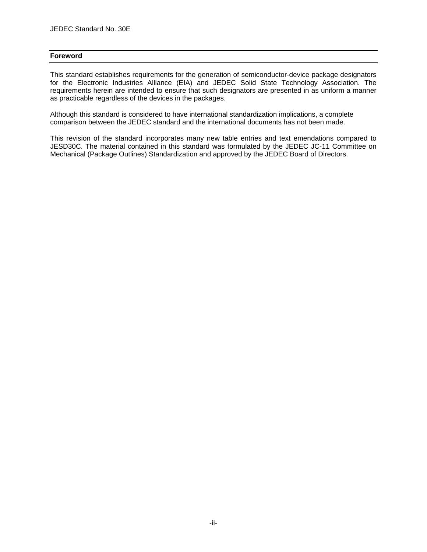#### **Foreword**

This standard establishes requirements for the generation of semiconductor-device package designators for the Electronic Industries Alliance (EIA) and JEDEC Solid State Technology Association. The requirements herein are intended to ensure that such designators are presented in as uniform a manner as practicable regardless of the devices in the packages.

Although this standard is considered to have international standardization implications, a complete comparison between the JEDEC standard and the international documents has not been made.

This revision of the standard incorporates many new table entries and text emendations compared to JESD30C. The material contained in this standard was formulated by the JEDEC JC-11 Committee on Mechanical (Package Outlines) Standardization and approved by the JEDEC Board of Directors.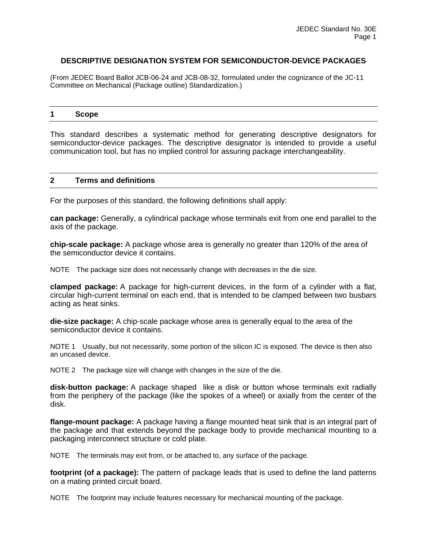#### **DESCRIPTIVE DESIGNATION SYSTEM FOR SEMICONDUCTOR-DEVICE PACKAGES**

(From JEDEC Board Ballot JCB-06-24 and JCB-08-32, formulated under the cognizance of the JC-11 Committee on Mechanical (Package outline) Standardization.)

#### **1 Scope**

This standard describes a systematic method for generating descriptive designators for semiconductor-device packages. The descriptive designator is intended to provide a useful communication tool, but has no implied control for assuring package interchangeability.

#### **2 Terms and definitions**

For the purposes of this standard, the following definitions shall apply:

**can package:** Generally, a cylindrical package whose terminals exit from one end parallel to the axis of the package.

**chip-scale package:** A package whose area is generally no greater than 120% of the area of the semiconductor device it contains.

NOTE The package size does not necessarily change with decreases in the die size.

**clamped package:** A package for high-current devices, in the form of a cylinder with a flat, circular high-current terminal on each end, that is intended to be clamped between two busbars acting as heat sinks.

**die-size package:** A chip-scale package whose area is generally equal to the area of the semiconductor device it contains.

NOTE 1 Usually, but not necessarily, some portion of the silicon IC is exposed. The device is then also an uncased device.

NOTE 2 The package size will change with changes in the size of the die.

**disk-button package:** A package shaped like a disk or button whose terminals exit radially from the periphery of the package (like the spokes of a wheel) or axially from the center of the disk.

**flange-mount package:** A package having a flange mounted heat sink that is an integral part of the package and that extends beyond the package body to provide mechanical mounting to a packaging interconnect structure or cold plate.

NOTE The terminals may exit from, or be attached to, any surface of the package.

**footprint (of a package):** The pattern of package leads that is used to define the land patterns on a mating printed circuit board.

NOTE The footprint may include features necessary for mechanical mounting of the package.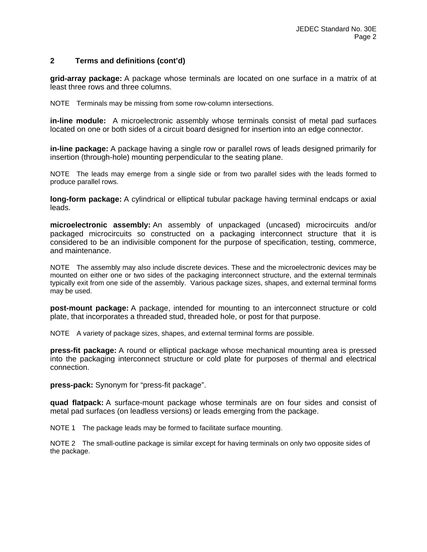#### **2 Terms and definitions (cont'd)**

**grid-array package:** A package whose terminals are located on one surface in a matrix of at least three rows and three columns.

NOTE Terminals may be missing from some row-column intersections.

**in-line module:** A microelectronic assembly whose terminals consist of metal pad surfaces located on one or both sides of a circuit board designed for insertion into an edge connector.

**in-line package:** A package having a single row or parallel rows of leads designed primarily for insertion (through-hole) mounting perpendicular to the seating plane.

NOTE The leads may emerge from a single side or from two parallel sides with the leads formed to produce parallel rows.

**long-form package:** A cylindrical or elliptical tubular package having terminal endcaps or axial leads.

**microelectronic assembly:** An assembly of unpackaged (uncased) microcircuits and/or packaged microcircuits so constructed on a packaging interconnect structure that it is considered to be an indivisible component for the purpose of specification, testing, commerce, and maintenance.

NOTE The assembly may also include discrete devices. These and the microelectronic devices may be mounted on either one or two sides of the packaging interconnect structure, and the external terminals typically exit from one side of the assembly. Various package sizes, shapes, and external terminal forms may be used.

**post-mount package:** A package, intended for mounting to an interconnect structure or cold plate, that incorporates a threaded stud, threaded hole, or post for that purpose.

NOTE A variety of package sizes, shapes, and external terminal forms are possible.

**press-fit package:** A round or elliptical package whose mechanical mounting area is pressed into the packaging interconnect structure or cold plate for purposes of thermal and electrical connection.

**press-pack:** Synonym for "press-fit package".

**quad flatpack:** A surface-mount package whose terminals are on four sides and consist of metal pad surfaces (on leadless versions) or leads emerging from the package.

NOTE 1 The package leads may be formed to facilitate surface mounting.

NOTE 2 The small-outline package is similar except for having terminals on only two opposite sides of the package.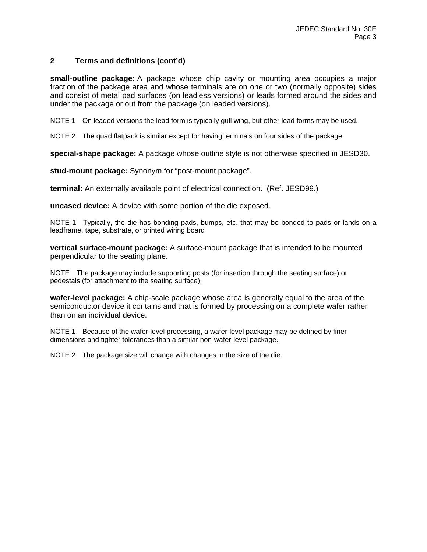#### **2 Terms and definitions (cont'd)**

**small-outline package:** A package whose chip cavity or mounting area occupies a major fraction of the package area and whose terminals are on one or two (normally opposite) sides and consist of metal pad surfaces (on leadless versions) or leads formed around the sides and under the package or out from the package (on leaded versions).

NOTE 1 On leaded versions the lead form is typically gull wing, but other lead forms may be used.

NOTE 2 The quad flatpack is similar except for having terminals on four sides of the package.

**special-shape package:** A package whose outline style is not otherwise specified in JESD30.

**stud-mount package:** Synonym for "post-mount package".

**terminal:** An externally available point of electrical connection. (Ref. JESD99.)

**uncased device:** A device with some portion of the die exposed.

NOTE 1 Typically, the die has bonding pads, bumps, etc. that may be bonded to pads or lands on a leadframe, tape, substrate, or printed wiring board

**vertical surface-mount package:** A surface-mount package that is intended to be mounted perpendicular to the seating plane.

NOTE The package may include supporting posts (for insertion through the seating surface) or pedestals (for attachment to the seating surface).

**wafer-level package:** A chip-scale package whose area is generally equal to the area of the semiconductor device it contains and that is formed by processing on a complete wafer rather than on an individual device.

NOTE 1 Because of the wafer-level processing, a wafer-level package may be defined by finer dimensions and tighter tolerances than a similar non-wafer-level package.

NOTE 2 The package size will change with changes in the size of the die.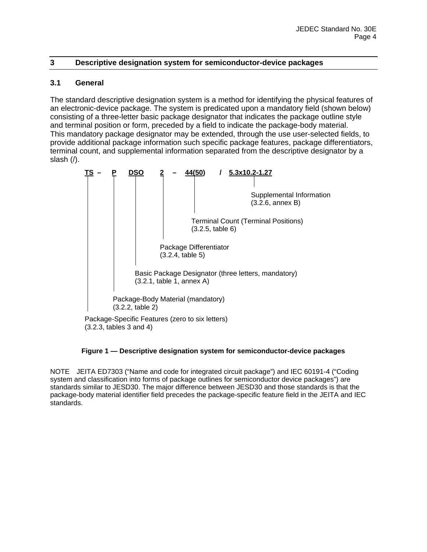#### **3 Descriptive designation system for semiconductor-device packages**

#### **3.1 General**

The standard descriptive designation system is a method for identifying the physical features of an electronic-device package. The system is predicated upon a mandatory field (shown below) consisting of a three-letter basic package designator that indicates the package outline style and terminal position or form, preceded by a field to indicate the package-body material. This mandatory package designator may be extended, through the use user-selected fields, to provide additional package information such specific package features, package differentiators, terminal count, and supplemental information separated from the descriptive designator by a slash (/).

|  | DSO                                                   |  | 44(50)                                     |                  | 5.3x10.2-1.27                                       |
|--|-------------------------------------------------------|--|--------------------------------------------|------------------|-----------------------------------------------------|
|  |                                                       |  |                                            |                  |                                                     |
|  |                                                       |  |                                            |                  | Supplemental Information<br>$(3.2.6,$ annex B)      |
|  |                                                       |  |                                            | (3.2.5, table 6) | <b>Terminal Count (Terminal Positions)</b>          |
|  |                                                       |  | Package Differentiator<br>(3.2.4, table 5) |                  |                                                     |
|  |                                                       |  | (3.2.1, table 1, annex A)                  |                  | Basic Package Designator (three letters, mandatory) |
|  | Package-Body Material (mandatory)<br>(3.2.2, table 2) |  |                                            |                  |                                                     |
|  | Package-Specific Features (zero to six letters)       |  |                                            |                  |                                                     |

(3.2.3, tables 3 and 4)

#### **Figure 1 — Descriptive designation system for semiconductor-device packages**

NOTE JEITA ED7303 ("Name and code for integrated circuit package") and IEC 60191-4 ("Coding system and classification into forms of package outlines for semiconductor device packages") are standards similar to JESD30. The major difference between JESD30 and those standards is that the package-body material identifier field precedes the package-specific feature field in the JEITA and IEC standards.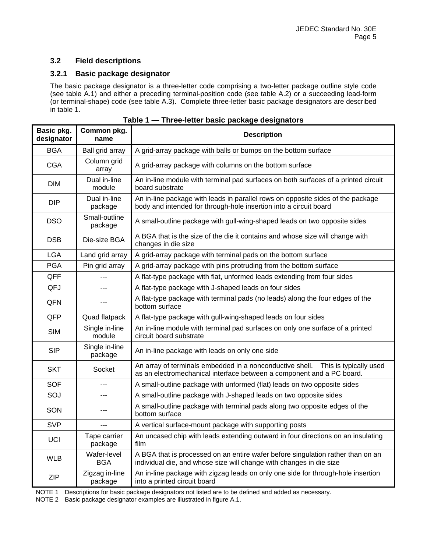#### **3.2 Field descriptions**

#### **3.2.1 Basic package designator**

The basic package designator is a three-letter code comprising a two-letter package outline style code (see table A.1) and either a preceding terminal-position code (see table A.2) or a succeeding lead-form (or terminal-shape) code (see table A.3). Complete three-letter basic package designators are described in table 1.

| Basic pkg.<br>designator | Common pkg.<br>name       | <b>Description</b>                                                                                                                                          |
|--------------------------|---------------------------|-------------------------------------------------------------------------------------------------------------------------------------------------------------|
| <b>BGA</b>               | Ball grid array           | A grid-array package with balls or bumps on the bottom surface                                                                                              |
| <b>CGA</b>               | Column grid<br>array      | A grid-array package with columns on the bottom surface                                                                                                     |
| <b>DIM</b>               | Dual in-line<br>module    | An in-line module with terminal pad surfaces on both surfaces of a printed circuit<br>board substrate                                                       |
| <b>DIP</b>               | Dual in-line<br>package   | An in-line package with leads in parallel rows on opposite sides of the package<br>body and intended for through-hole insertion into a circuit board        |
| <b>DSO</b>               | Small-outline<br>package  | A small-outline package with gull-wing-shaped leads on two opposite sides                                                                                   |
| <b>DSB</b>               | Die-size BGA              | A BGA that is the size of the die it contains and whose size will change with<br>changes in die size                                                        |
| <b>LGA</b>               | Land grid array           | A grid-array package with terminal pads on the bottom surface                                                                                               |
| <b>PGA</b>               | Pin grid array            | A grid-array package with pins protruding from the bottom surface                                                                                           |
| <b>QFF</b>               | ---                       | A flat-type package with flat, unformed leads extending from four sides                                                                                     |
| QFJ                      | ---                       | A flat-type package with J-shaped leads on four sides                                                                                                       |
| QFN                      | $---$                     | A flat-type package with terminal pads (no leads) along the four edges of the<br>bottom surface                                                             |
| QFP                      | Quad flatpack             | A flat-type package with gull-wing-shaped leads on four sides                                                                                               |
| <b>SIM</b>               | Single in-line<br>module  | An in-line module with terminal pad surfaces on only one surface of a printed<br>circuit board substrate                                                    |
| <b>SIP</b>               | Single in-line<br>package | An in-line package with leads on only one side                                                                                                              |
| <b>SKT</b>               | Socket                    | An array of terminals embedded in a nonconductive shell.<br>This is typically used<br>as an electromechanical interface between a component and a PC board. |
| <b>SOF</b>               | ---                       | A small-outline package with unformed (flat) leads on two opposite sides                                                                                    |
| SOJ                      | $-$ --                    | A small-outline package with J-shaped leads on two opposite sides                                                                                           |
| SON                      | ---                       | A small-outline package with terminal pads along two opposite edges of the<br>bottom surface                                                                |
| <b>SVP</b>               | ---                       | A vertical surface-mount package with supporting posts                                                                                                      |
| <b>UCI</b>               | Tape carrier<br>package   | An uncased chip with leads extending outward in four directions on an insulating<br>film                                                                    |
| <b>WLB</b>               | Wafer-level<br><b>BGA</b> | A BGA that is processed on an entire wafer before singulation rather than on an<br>individual die, and whose size will change with changes in die size      |
| <b>ZIP</b>               | Zigzag in-line<br>package | An in-line package with zigzag leads on only one side for through-hole insertion<br>into a printed circuit board                                            |

NOTE 1 Descriptions for basic package designators not listed are to be defined and added as necessary.

NOTE 2 Basic package designator examples are illustrated in figure A.1.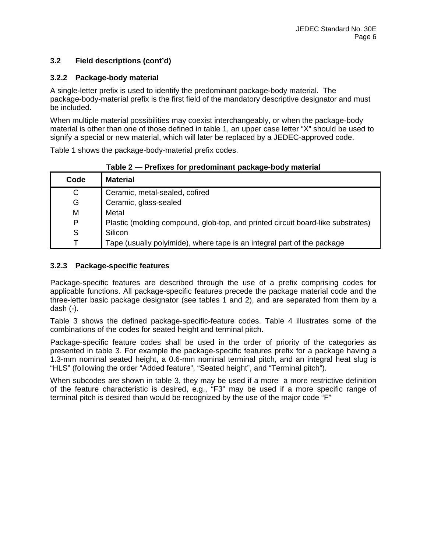#### **3.2 Field descriptions (cont'd)**

#### **3.2.2 Package-body material**

A single-letter prefix is used to identify the predominant package-body material. The package-body-material prefix is the first field of the mandatory descriptive designator and must be included.

When multiple material possibilities may coexist interchangeably, or when the package-body material is other than one of those defined in table 1, an upper case letter "X" should be used to signify a special or new material, which will later be replaced by a JEDEC-approved code.

Table 1 shows the package-body-material prefix codes.

|      | .<br><b>THE READY TO PROGRAMMAN PUTTING</b> DOUT MULTIME                        |
|------|---------------------------------------------------------------------------------|
| Code | <b>Material</b>                                                                 |
| C    | Ceramic, metal-sealed, cofired                                                  |
| G    | Ceramic, glass-sealed                                                           |
| M    | Metal                                                                           |
| P    | Plastic (molding compound, glob-top, and printed circuit board-like substrates) |
| S    | Silicon                                                                         |
|      | Tape (usually polyimide), where tape is an integral part of the package         |

#### **Table 2 — Prefixes for predominant package-body material**

#### **3.2.3 Package-specific features**

Package-specific features are described through the use of a prefix comprising codes for applicable functions. All package-specific features precede the package material code and the three-letter basic package designator (see tables 1 and 2), and are separated from them by a dash (-).

Table 3 shows the defined package-specific-feature codes. Table 4 illustrates some of the combinations of the codes for seated height and terminal pitch.

Package-specific feature codes shall be used in the order of priority of the categories as presented in table 3. For example the package-specific features prefix for a package having a 1.3-mm nominal seated height, a 0.6-mm nominal terminal pitch, and an integral heat slug is "HLS" (following the order "Added feature", "Seated height", and "Terminal pitch").

When subcodes are shown in table 3, they may be used if a more a more restrictive definition of the feature characteristic is desired, e.g., "F3" may be used if a more specific range of terminal pitch is desired than would be recognized by the use of the major code "F"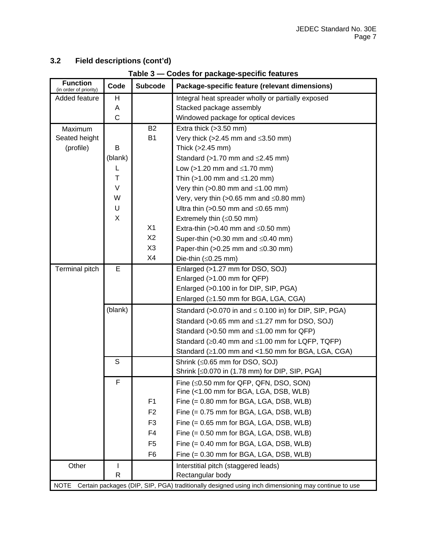| Field descriptions (cont'd)<br>3.2 |
|------------------------------------|
|------------------------------------|

| Table 3 - Codes for package-specific features |              |                |                                                              |  |  |  |
|-----------------------------------------------|--------------|----------------|--------------------------------------------------------------|--|--|--|
| <b>Function</b><br>(in order of priority)     | Code         | <b>Subcode</b> | Package-specific feature (relevant dimensions)               |  |  |  |
| Added feature                                 | н            |                | Integral heat spreader wholly or partially exposed           |  |  |  |
|                                               | Α            |                | Stacked package assembly                                     |  |  |  |
|                                               | $\mathsf C$  |                | Windowed package for optical devices                         |  |  |  |
| Maximum                                       |              | <b>B2</b>      | Extra thick $(>3.50$ mm)                                     |  |  |  |
| Seated height                                 |              | <b>B1</b>      | Very thick (>2.45 mm and $\leq$ 3.50 mm)                     |  |  |  |
| (profile)                                     | B            |                | Thick $(>2.45$ mm)                                           |  |  |  |
|                                               | (blank)      |                | Standard ( $>1.70$ mm and $\leq$ 2.45 mm)                    |  |  |  |
|                                               | L            |                | Low (>1.20 mm and $\leq$ 1.70 mm)                            |  |  |  |
|                                               | T            |                | Thin (>1.00 mm and $\leq$ 1.20 mm)                           |  |  |  |
|                                               | $\vee$       |                | Very thin (>0.80 mm and $\leq$ 1.00 mm)                      |  |  |  |
|                                               | W            |                | Very, very thin (>0.65 mm and $\leq$ 0.80 mm)                |  |  |  |
|                                               | U            |                | Ultra thin (>0.50 mm and $\leq$ 0.65 mm)                     |  |  |  |
|                                               | X            |                | Extremely thin $(\leq 0.50$ mm)                              |  |  |  |
|                                               |              | X1             | Extra-thin (>0.40 mm and $\leq$ 0.50 mm)                     |  |  |  |
|                                               |              | X <sub>2</sub> | Super-thin (>0.30 mm and $\leq$ 0.40 mm)                     |  |  |  |
|                                               |              | X <sub>3</sub> | Paper-thin (>0.25 mm and $\leq$ 0.30 mm)                     |  |  |  |
|                                               |              | X4             | Die-thin $(\leq 0.25$ mm)                                    |  |  |  |
| Terminal pitch                                | E            |                | Enlarged (>1.27 mm for DSO, SOJ)                             |  |  |  |
|                                               |              |                | Enlarged (>1.00 mm for QFP)                                  |  |  |  |
|                                               |              |                | Enlarged (>0.100 in for DIP, SIP, PGA)                       |  |  |  |
|                                               |              |                | Enlarged (≥1.50 mm for BGA, LGA, CGA)                        |  |  |  |
|                                               | (blank)      |                | Standard (>0.070 in and $\leq$ 0.100 in) for DIP, SIP, PGA)  |  |  |  |
|                                               |              |                | Standard (>0.65 mm and ≤1.27 mm for DSO, SOJ)                |  |  |  |
|                                               |              |                | Standard (> $0.50$ mm and $\leq 1.00$ mm for QFP)            |  |  |  |
|                                               |              |                | Standard ( $\geq$ 0.40 mm and $\leq$ 1.00 mm for LQFP, TQFP) |  |  |  |
|                                               |              |                | Standard $(≥1.00$ mm and <1.50 mm for BGA, LGA, CGA)         |  |  |  |
|                                               | S            |                | Shrink (≤0.65 mm for DSO, SOJ)                               |  |  |  |
|                                               |              |                | Shrink [≤0.070 in (1.78 mm) for DIP, SIP, PGA]               |  |  |  |
|                                               | F            |                | Fine $(\leq 0.50$ mm for QFP, QFN, DSO, SON)                 |  |  |  |
|                                               |              |                | Fine (<1.00 mm for BGA, LGA, DSB, WLB)                       |  |  |  |
|                                               |              | F <sub>1</sub> | Fine (= 0.80 mm for BGA, LGA, DSB, WLB)                      |  |  |  |
|                                               |              | F <sub>2</sub> | Fine (= 0.75 mm for BGA, LGA, DSB, WLB)                      |  |  |  |
|                                               |              | F <sub>3</sub> | Fine (= 0.65 mm for BGA, LGA, DSB, WLB)                      |  |  |  |
|                                               |              | F4             | Fine (= 0.50 mm for BGA, LGA, DSB, WLB)                      |  |  |  |
|                                               |              | F <sub>5</sub> | Fine (= 0.40 mm for BGA, LGA, DSB, WLB)                      |  |  |  |
|                                               |              | F <sub>6</sub> | Fine (= 0.30 mm for BGA, LGA, DSB, WLB)                      |  |  |  |
| Other                                         | $\mathbf{I}$ |                | Interstitial pitch (staggered leads)                         |  |  |  |
|                                               | $\mathsf R$  |                | Rectangular body                                             |  |  |  |

NOTE Certain packages (DIP, SIP, PGA) traditionally designed using inch dimensioning may continue to use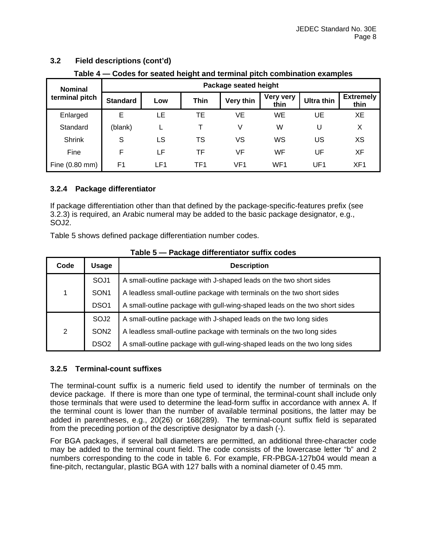| rable 4 — Godes for seated height and terminal pitch compilation examples |                       |     |                 |                  |                          |            |                          |  |  |  |
|---------------------------------------------------------------------------|-----------------------|-----|-----------------|------------------|--------------------------|------------|--------------------------|--|--|--|
| <b>Nominal</b>                                                            | Package seated height |     |                 |                  |                          |            |                          |  |  |  |
| terminal pitch                                                            | <b>Standard</b>       | Low | <b>Thin</b>     | <b>Very thin</b> | <b>Very very</b><br>thin | Ultra thin | <b>Extremely</b><br>thin |  |  |  |
| Enlarged                                                                  | Е                     | LE  | TЕ              | VE               | WE                       | UE         | XE                       |  |  |  |
| Standard                                                                  | (blank)               |     |                 | V                | W                        | U          | X                        |  |  |  |
| <b>Shrink</b>                                                             | S                     | LS  | TS              | ٧S               | WS                       | US         | XS                       |  |  |  |
| Fine                                                                      | F                     | LF  | TF              | VF               | WF                       | UF         | XF                       |  |  |  |
| Fine (0.80 mm)                                                            | F <sub>1</sub>        | LF1 | TF <sub>1</sub> | VF <sub>1</sub>  | WF <sub>1</sub>          | UF1        | XF <sub>1</sub>          |  |  |  |

#### **3.2 Field descriptions (cont'd)**

**Table 4 — Codes for seated height and terminal pitch combination examples** 

#### **3.2.4 Package differentiator**

If package differentiation other than that defined by the package-specific-features prefix (see 3.2.3) is required, an Arabic numeral may be added to the basic package designator, e.g., SOJ2.

Table 5 shows defined package differentiation number codes.

| Code | Usage            | <b>Description</b>                                                         |
|------|------------------|----------------------------------------------------------------------------|
|      | SOJ1             | A small-outline package with J-shaped leads on the two short sides         |
| 1.   | SON <sub>1</sub> | A leadless small-outline package with terminals on the two short sides     |
|      | DSO <sub>1</sub> | A small-outline package with gull-wing-shaped leads on the two short sides |
|      | SOJ <sub>2</sub> | A small-outline package with J-shaped leads on the two long sides          |
| 2    | SON <sub>2</sub> | A leadless small-outline package with terminals on the two long sides      |
|      | DSO <sub>2</sub> | A small-outline package with gull-wing-shaped leads on the two long sides  |

**Table 5 — Package differentiator suffix codes** 

#### **3.2.5 Terminal-count suffixes**

The terminal-count suffix is a numeric field used to identify the number of terminals on the device package. If there is more than one type of terminal, the terminal-count shall include only those terminals that were used to determine the lead-form suffix in accordance with annex A. If the terminal count is lower than the number of available terminal positions, the latter may be added in parentheses, e.g., 20(26) or 168(289). The terminal-count suffix field is separated from the preceding portion of the descriptive designator by a dash (-).

For BGA packages, if several ball diameters are permitted, an additional three-character code may be added to the terminal count field. The code consists of the lowercase letter "b" and 2 numbers corresponding to the code in table 6. For example, FR-PBGA-127b04 would mean a fine-pitch, rectangular, plastic BGA with 127 balls with a nominal diameter of 0.45 mm.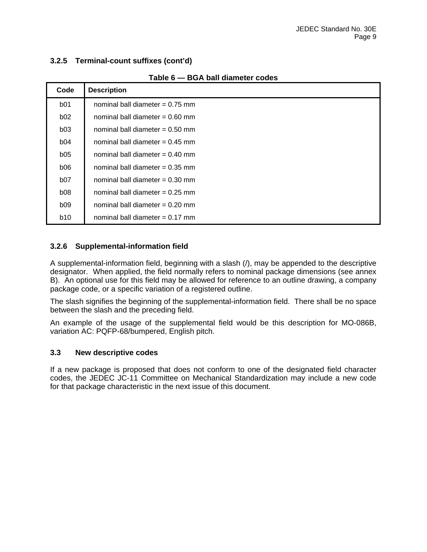#### **3.2.5 Terminal-count suffixes (cont'd)**

| Code            | <b>Description</b>                |
|-----------------|-----------------------------------|
| <b>b01</b>      | nominal ball diameter $= 0.75$ mm |
| <b>b02</b>      | nominal ball diameter $= 0.60$ mm |
| b03             | nominal ball diameter $= 0.50$ mm |
| b04             | nominal ball diameter $= 0.45$ mm |
| <b>b05</b>      | nominal ball diameter $= 0.40$ mm |
| <b>b06</b>      | nominal ball diameter $= 0.35$ mm |
| <b>b07</b>      | nominal ball diameter $= 0.30$ mm |
| b <sub>08</sub> | nominal ball diameter $= 0.25$ mm |
| b09             | nominal ball diameter $= 0.20$ mm |
| <b>b10</b>      | nominal ball diameter $= 0.17$ mm |

#### **Table 6 — BGA ball diameter codes**

#### **3.2.6 Supplemental-information field**

A supplemental-information field, beginning with a slash (/), may be appended to the descriptive designator. When applied, the field normally refers to nominal package dimensions (see annex B). An optional use for this field may be allowed for reference to an outline drawing, a company package code, or a specific variation of a registered outline.

The slash signifies the beginning of the supplemental-information field. There shall be no space between the slash and the preceding field.

An example of the usage of the supplemental field would be this description for MO-086B, variation AC: PQFP-68/bumpered, English pitch.

#### **3.3 New descriptive codes**

If a new package is proposed that does not conform to one of the designated field character codes, the JEDEC JC-11 Committee on Mechanical Standardization may include a new code for that package characteristic in the next issue of this document.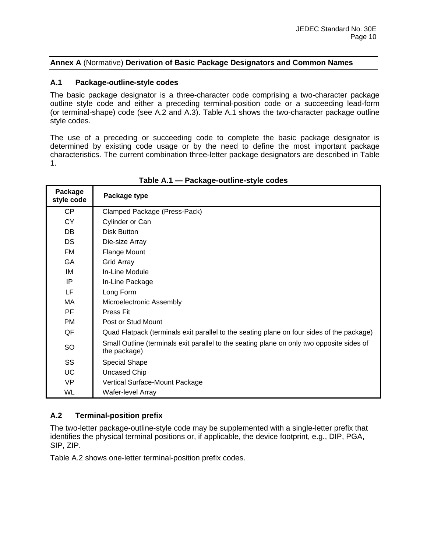#### **Annex A** (Normative) **Derivation of Basic Package Designators and Common Names**

#### **A.1 Package-outline-style codes**

The basic package designator is a three-character code comprising a two-character package outline style code and either a preceding terminal-position code or a succeeding lead-form (or terminal-shape) code (see A.2 and A.3). Table A.1 shows the two-character package outline style codes.

The use of a preceding or succeeding code to complete the basic package designator is determined by existing code usage or by the need to define the most important package characteristics. The current combination three-letter package designators are described in Table 1.

| Package<br>style code | Package type                                                                                              |
|-----------------------|-----------------------------------------------------------------------------------------------------------|
| CP                    | Clamped Package (Press-Pack)                                                                              |
| CY                    | Cylinder or Can                                                                                           |
| DB.                   | Disk Button                                                                                               |
| <b>DS</b>             | Die-size Array                                                                                            |
| FM                    | Flange Mount                                                                                              |
| GA                    | <b>Grid Array</b>                                                                                         |
| IM                    | In-Line Module                                                                                            |
| IP                    | In-Line Package                                                                                           |
| LF                    | Long Form                                                                                                 |
| MA.                   | Microelectronic Assembly                                                                                  |
| PF                    | Press Fit                                                                                                 |
| PM.                   | Post or Stud Mount                                                                                        |
| QF                    | Quad Flatpack (terminals exit parallel to the seating plane on four sides of the package)                 |
| SO                    | Small Outline (terminals exit parallel to the seating plane on only two opposite sides of<br>the package) |
| SS                    | <b>Special Shape</b>                                                                                      |
| <b>UC</b>             | Uncased Chip                                                                                              |
| VP                    | Vertical Surface-Mount Package                                                                            |
| WL                    | Wafer-level Array                                                                                         |

#### **Table A.1 — Package-outline-style codes**

#### **A.2 Terminal-position prefix**

The two-letter package-outline-style code may be supplemented with a single-letter prefix that identifies the physical terminal positions or, if applicable, the device footprint, e.g., DIP, PGA, SIP, ZIP.

Table A.2 shows one-letter terminal-position prefix codes.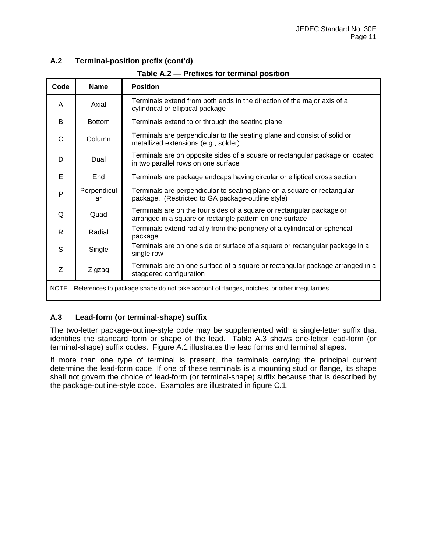#### **A.2 Terminal-position prefix (cont'd)**

| Code                                                                                                         | <b>Name</b>       | <b>Position</b>                                                                                                                   |  |  |  |
|--------------------------------------------------------------------------------------------------------------|-------------------|-----------------------------------------------------------------------------------------------------------------------------------|--|--|--|
| A                                                                                                            | Axial             | Terminals extend from both ends in the direction of the major axis of a<br>cylindrical or elliptical package                      |  |  |  |
| B                                                                                                            | <b>Bottom</b>     | Terminals extend to or through the seating plane                                                                                  |  |  |  |
| $\mathsf C$                                                                                                  | Column            | Terminals are perpendicular to the seating plane and consist of solid or<br>metallized extensions (e.g., solder)                  |  |  |  |
| D                                                                                                            | Dual              | Terminals are on opposite sides of a square or rectangular package or located<br>in two parallel rows on one surface              |  |  |  |
| E                                                                                                            | End               | Terminals are package endcaps having circular or elliptical cross section                                                         |  |  |  |
| P                                                                                                            | Perpendicul<br>ar | Terminals are perpendicular to seating plane on a square or rectangular<br>package. (Restricted to GA package-outline style)      |  |  |  |
| Q                                                                                                            | Quad              | Terminals are on the four sides of a square or rectangular package or<br>arranged in a square or rectangle pattern on one surface |  |  |  |
| $\mathsf{R}$                                                                                                 | Radial            | Terminals extend radially from the periphery of a cylindrical or spherical<br>package                                             |  |  |  |
| S                                                                                                            | Single            | Terminals are on one side or surface of a square or rectangular package in a<br>single row                                        |  |  |  |
| Z                                                                                                            | Zigzag            | Terminals are on one surface of a square or rectangular package arranged in a<br>staggered configuration                          |  |  |  |
| <b>NOTE</b><br>References to package shape do not take account of flanges, notches, or other irregularities. |                   |                                                                                                                                   |  |  |  |

**Table A.2 — Prefixes for terminal position** 

#### **A.3 Lead-form (or terminal-shape) suffix**

The two-letter package-outline-style code may be supplemented with a single-letter suffix that identifies the standard form or shape of the lead. Table A.3 shows one-letter lead-form (or terminal-shape) suffix codes. Figure A.1 illustrates the lead forms and terminal shapes.

If more than one type of terminal is present, the terminals carrying the principal current determine the lead-form code. If one of these terminals is a mounting stud or flange, its shape shall not govern the choice of lead-form (or terminal-shape) suffix because that is described by the package-outline-style code. Examples are illustrated in figure C.1.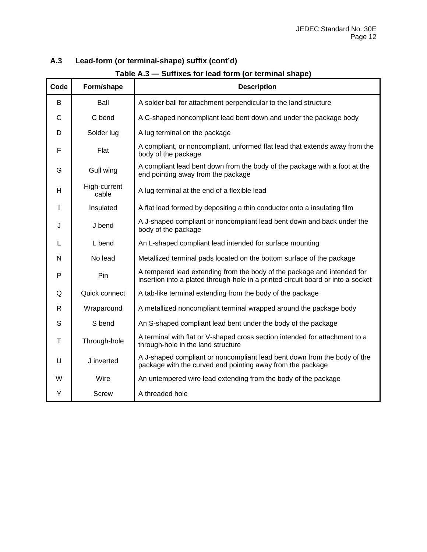#### **A.3 Lead-form (or terminal-shape) suffix (cont'd)**

| Table A.3 — Suffixes for lead form (or terminal shape) |  |
|--------------------------------------------------------|--|
|--------------------------------------------------------|--|

| Code | Form/shape            | <b>Description</b>                                                                                                                                          |
|------|-----------------------|-------------------------------------------------------------------------------------------------------------------------------------------------------------|
| B    | Ball                  | A solder ball for attachment perpendicular to the land structure                                                                                            |
| C    | C bend                | A C-shaped noncompliant lead bent down and under the package body                                                                                           |
| D    | Solder lug            | A lug terminal on the package                                                                                                                               |
| F    | Flat                  | A compliant, or noncompliant, unformed flat lead that extends away from the<br>body of the package                                                          |
| G    | Gull wing             | A compliant lead bent down from the body of the package with a foot at the<br>end pointing away from the package                                            |
| H    | High-current<br>cable | A lug terminal at the end of a flexible lead                                                                                                                |
| I    | Insulated             | A flat lead formed by depositing a thin conductor onto a insulating film                                                                                    |
| J    | J bend                | A J-shaped compliant or noncompliant lead bent down and back under the<br>body of the package                                                               |
| L    | L bend                | An L-shaped compliant lead intended for surface mounting                                                                                                    |
| N    | No lead               | Metallized terminal pads located on the bottom surface of the package                                                                                       |
| P    | Pin                   | A tempered lead extending from the body of the package and intended for<br>insertion into a plated through-hole in a printed circuit board or into a socket |
| Q    | Quick connect         | A tab-like terminal extending from the body of the package                                                                                                  |
| R    | Wraparound            | A metallized noncompliant terminal wrapped around the package body                                                                                          |
| S    | S bend                | An S-shaped compliant lead bent under the body of the package                                                                                               |
| T    | Through-hole          | A terminal with flat or V-shaped cross section intended for attachment to a<br>through-hole in the land structure                                           |
| U    | J inverted            | A J-shaped compliant or noncompliant lead bent down from the body of the<br>package with the curved end pointing away from the package                      |
| W    | Wire                  | An untempered wire lead extending from the body of the package                                                                                              |
| Y    | <b>Screw</b>          | A threaded hole                                                                                                                                             |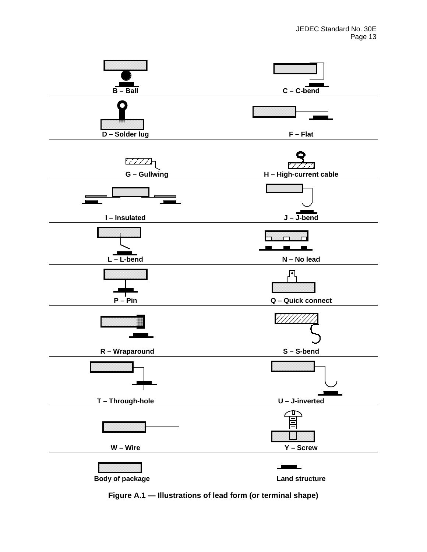

**Figure A.1 — Illustrations of lead form (or terminal shape)**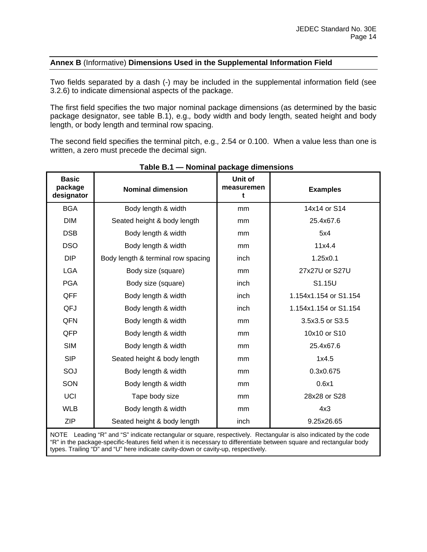#### **Annex B** (Informative) **Dimensions Used in the Supplemental Information Field**

Two fields separated by a dash (-) may be included in the supplemental information field (see 3.2.6) to indicate dimensional aspects of the package.

The first field specifies the two major nominal package dimensions (as determined by the basic package designator, see table B.1), e.g.*,* body width and body length, seated height and body length, or body length and terminal row spacing.

The second field specifies the terminal pitch, e.g.*,* 2.54 or 0.100. When a value less than one is written, a zero must precede the decimal sign.

| <b>Basic</b><br>package<br>designator                                                                            | <b>Nominal dimension</b>           | Unit of<br>measuremen<br>t | <b>Examples</b>       |
|------------------------------------------------------------------------------------------------------------------|------------------------------------|----------------------------|-----------------------|
| <b>BGA</b>                                                                                                       | Body length & width                | mm                         | 14x14 or S14          |
| <b>DIM</b>                                                                                                       | Seated height & body length        | mm                         | 25.4x67.6             |
| <b>DSB</b>                                                                                                       | Body length & width                | mm                         | 5x4                   |
| <b>DSO</b>                                                                                                       | Body length & width                | mm                         | 11x4.4                |
| <b>DIP</b>                                                                                                       | Body length & terminal row spacing | inch                       | 1.25x0.1              |
| <b>LGA</b>                                                                                                       | Body size (square)                 | mm                         | 27x27U or S27U        |
| <b>PGA</b>                                                                                                       | Body size (square)                 | inch                       | S1.15U                |
| QFF                                                                                                              | Body length & width                | inch                       | 1.154x1.154 or S1.154 |
| QFJ                                                                                                              | Body length & width                | inch                       | 1.154x1.154 or S1.154 |
| QFN                                                                                                              | Body length & width                | mm                         | 3.5x3.5 or S3.5       |
| QFP                                                                                                              | Body length & width                | mm                         | 10x10 or S10          |
| <b>SIM</b>                                                                                                       | Body length & width                | mm                         | 25.4x67.6             |
| <b>SIP</b>                                                                                                       | Seated height & body length        | mm                         | 1x4.5                 |
| SOJ                                                                                                              | Body length & width                | mm                         | 0.3x0.675             |
| SON                                                                                                              | Body length & width                | mm                         | 0.6x1                 |
| UCI                                                                                                              | Tape body size                     | mm                         | 28x28 or S28          |
| <b>WLB</b>                                                                                                       | Body length & width                | mm                         | 4x3                   |
| <b>ZIP</b>                                                                                                       | Seated height & body length        | inch                       | 9.25x26.65            |
| NOTE Leading "R" and "S" indicate rectangular or square, respectively. Rectangular is also indicated by the code |                                    |                            |                       |

#### **Table B.1 — Nominal package dimensions**

NOTE Leading "R" and "S" indicate rectangular or square, respectively. Rectangular is also indicated by the code "R" in the package-specific-features field when it is necessary to differentiate between square and rectangular body types. Trailing "D" and "U" here indicate cavity-down or cavity-up, respectively.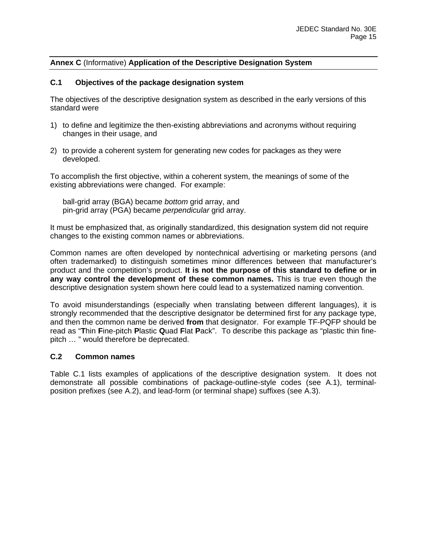#### **Annex C** (Informative) **Application of the Descriptive Designation System**

#### **C.1 Objectives of the package designation system**

The objectives of the descriptive designation system as described in the early versions of this standard were

- 1) to define and legitimize the then-existing abbreviations and acronyms without requiring changes in their usage, and
- 2) to provide a coherent system for generating new codes for packages as they were developed.

To accomplish the first objective, within a coherent system, the meanings of some of the existing abbreviations were changed. For example:

 ball-grid array (BGA) became *bottom* grid array, and pin-grid array (PGA) became *perpendicular* grid array.

It must be emphasized that, as originally standardized, this designation system did not require changes to the existing common names or abbreviations.

Common names are often developed by nontechnical advertising or marketing persons (and often trademarked) to distinguish sometimes minor differences between that manufacturer's product and the competition's product. **It is not the purpose of this standard to define or in any way control the development of these common names.** This is true even though the descriptive designation system shown here could lead to a systematized naming convention.

To avoid misunderstandings (especially when translating between different languages), it is strongly recommended that the descriptive designator be determined first for any package type, and then the common name be derived **from** that designator. For example TF-PQFP should be read as "**T**hin **F**ine-pitch **P**lastic **Q**uad **F**lat **P**ack". To describe this package as "plastic thin finepitch … " would therefore be deprecated.

#### **C.2 Common names**

Table C.1 lists examples of applications of the descriptive designation system. It does not demonstrate all possible combinations of package-outline-style codes (see A.1), terminalposition prefixes (see A.2), and lead-form (or terminal shape) suffixes (see A.3).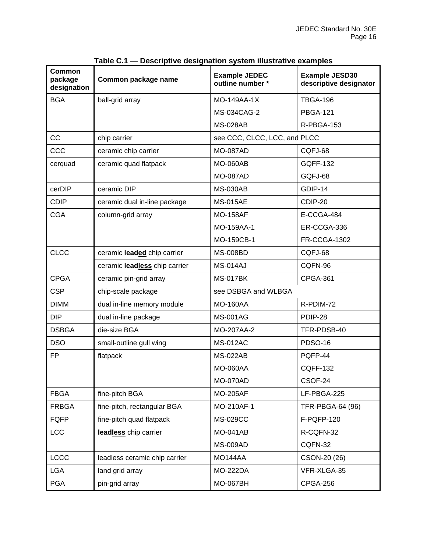| <b>Common</b><br>package<br>designation | Common package name           | <b>Example JEDEC</b><br>outline number * | <b>Example JESD30</b><br>descriptive designator |
|-----------------------------------------|-------------------------------|------------------------------------------|-------------------------------------------------|
| <b>BGA</b>                              | ball-grid array               | MO-149AA-1X                              | <b>TBGA-196</b>                                 |
|                                         |                               | MS-034CAG-2                              | <b>PBGA-121</b>                                 |
|                                         |                               | <b>MS-028AB</b>                          | R-PBGA-153                                      |
| <b>CC</b>                               | chip carrier                  | see CCC, CLCC, LCC, and PLCC             |                                                 |
| CCC                                     | ceramic chip carrier          | <b>MO-087AD</b>                          | CQFJ-68                                         |
| cerquad                                 | ceramic quad flatpack         | <b>MO-060AB</b>                          | <b>GQFF-132</b>                                 |
|                                         |                               | <b>MO-087AD</b>                          | GQFJ-68                                         |
| cerDIP                                  | ceramic DIP                   | <b>MS-030AB</b>                          | GDIP-14                                         |
| <b>CDIP</b>                             | ceramic dual in-line package  | <b>MS-015AE</b>                          | CDIP-20                                         |
| <b>CGA</b>                              | column-grid array             | <b>MO-158AF</b>                          | E-CCGA-484                                      |
|                                         |                               | MO-159AA-1                               | ER-CCGA-336                                     |
|                                         |                               | MO-159CB-1                               | <b>FR-CCGA-1302</b>                             |
| <b>CLCC</b>                             | ceramic leaded chip carrier   | <b>MS-008BD</b>                          | CQFJ-68                                         |
|                                         | ceramic leadless chip carrier | MS-014AJ                                 | CQFN-96                                         |
| <b>CPGA</b>                             | ceramic pin-grid array        | <b>MS-017BK</b>                          | <b>CPGA-361</b>                                 |
| <b>CSP</b>                              | chip-scale package            | see DSBGA and WLBGA                      |                                                 |
| <b>DIMM</b>                             | dual in-line memory module    | <b>MO-160AA</b>                          | R-PDIM-72                                       |
| <b>DIP</b>                              | dual in-line package          | <b>MS-001AG</b>                          | PDIP-28                                         |
| <b>DSBGA</b>                            | die-size BGA                  | MO-207AA-2                               | TFR-PDSB-40                                     |
| <b>DSO</b>                              | small-outline gull wing       | <b>MS-012AC</b>                          | <b>PDSO-16</b>                                  |
| <b>FP</b>                               | flatpack                      | <b>MS-022AB</b>                          | PQFP-44                                         |
|                                         |                               | <b>MO-060AA</b>                          | <b>CQFF-132</b>                                 |
|                                         |                               | <b>MO-070AD</b>                          | CSOF-24                                         |
| <b>FBGA</b>                             | fine-pitch BGA                | <b>MO-205AF</b>                          | LF-PBGA-225                                     |
| <b>FRBGA</b>                            | fine-pitch, rectangular BGA   | MO-210AF-1                               | TFR-PBGA-64 (96)                                |
| <b>FQFP</b>                             | fine-pitch quad flatpack      | <b>MS-029CC</b>                          | F-PQFP-120                                      |
| <b>LCC</b>                              | leadless chip carrier         | <b>MO-041AB</b>                          | R-CQFN-32                                       |
|                                         |                               | <b>MS-009AD</b>                          | CQFN-32                                         |
| <b>LCCC</b>                             | leadless ceramic chip carrier | MO144AA                                  | CSON-20 (26)                                    |
| <b>LGA</b>                              | land grid array               | <b>MO-222DA</b>                          | VFR-XLGA-35                                     |
| <b>PGA</b>                              | pin-grid array                | <b>MO-067BH</b>                          | CPGA-256                                        |

**Table C.1 — Descriptive designation system illustrative examples**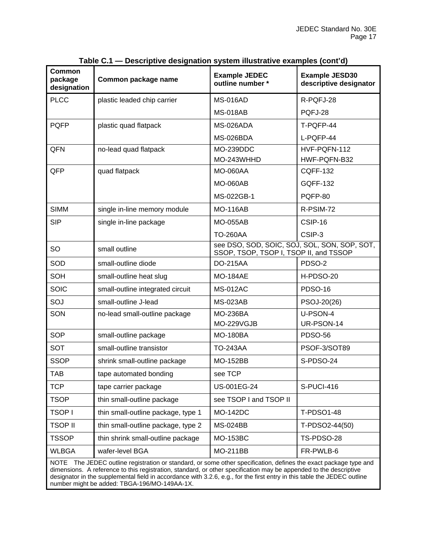| <b>Common</b><br>package<br>designation                                                                                                                                                                                                       | Common package name                | <b>Example JEDEC</b><br>outline number *                                               | <b>Example JESD30</b><br>descriptive designator |
|-----------------------------------------------------------------------------------------------------------------------------------------------------------------------------------------------------------------------------------------------|------------------------------------|----------------------------------------------------------------------------------------|-------------------------------------------------|
| <b>PLCC</b>                                                                                                                                                                                                                                   | plastic leaded chip carrier        | <b>MS-016AD</b>                                                                        | R-PQFJ-28                                       |
|                                                                                                                                                                                                                                               |                                    | <b>MS-018AB</b>                                                                        | PQFJ-28                                         |
| <b>PQFP</b>                                                                                                                                                                                                                                   | plastic quad flatpack              | MS-026ADA                                                                              | T-PQFP-44                                       |
|                                                                                                                                                                                                                                               |                                    | MS-026BDA                                                                              | L-PQFP-44                                       |
| QFN                                                                                                                                                                                                                                           | no-lead quad flatpack              | MO-239DDC                                                                              | HVF-PQFN-112                                    |
|                                                                                                                                                                                                                                               |                                    | MO-243WHHD                                                                             | HWF-PQFN-B32                                    |
| QFP                                                                                                                                                                                                                                           | quad flatpack                      | <b>MO-060AA</b>                                                                        | <b>CQFF-132</b>                                 |
|                                                                                                                                                                                                                                               |                                    | <b>MO-060AB</b>                                                                        | <b>GQFF-132</b>                                 |
|                                                                                                                                                                                                                                               |                                    | MS-022GB-1                                                                             | PQFP-80                                         |
| <b>SIMM</b>                                                                                                                                                                                                                                   | single in-line memory module       | <b>MO-116AB</b>                                                                        | R-PSIM-72                                       |
| <b>SIP</b>                                                                                                                                                                                                                                    | single in-line package             | <b>MO-055AB</b>                                                                        | CSIP-16                                         |
|                                                                                                                                                                                                                                               |                                    | <b>TO-260AA</b>                                                                        | CSIP-3                                          |
| SO                                                                                                                                                                                                                                            | small outline                      | see DSO, SOD, SOIC, SOJ, SOL, SON, SOP, SOT,<br>SSOP, TSOP, TSOP I, TSOP II, and TSSOP |                                                 |
| SOD                                                                                                                                                                                                                                           | small-outline diode                | <b>DO-215AA</b>                                                                        | PDSO-2                                          |
| SOH                                                                                                                                                                                                                                           | small-outline heat slug            | <b>MO-184AE</b>                                                                        | H-PDSO-20                                       |
| <b>SOIC</b>                                                                                                                                                                                                                                   | small-outline integrated circuit   | <b>MS-012AC</b>                                                                        | <b>PDSO-16</b>                                  |
| SOJ                                                                                                                                                                                                                                           | small-outline J-lead               | <b>MS-023AB</b>                                                                        | PSOJ-20(26)                                     |
| SON                                                                                                                                                                                                                                           | no-lead small-outline package      | <b>MO-236BA</b>                                                                        | U-PSON-4                                        |
|                                                                                                                                                                                                                                               |                                    | MO-229VGJB                                                                             | UR-PSON-14                                      |
| <b>SOP</b>                                                                                                                                                                                                                                    | small-outline package              | <b>MO-180BA</b>                                                                        | <b>PDSO-56</b>                                  |
| <b>SOT</b>                                                                                                                                                                                                                                    | small-outline transistor           | <b>TO-243AA</b>                                                                        | PSOF-3/SOT89                                    |
| <b>SSOP</b>                                                                                                                                                                                                                                   | shrink small-outline package       | <b>MO-152BB</b>                                                                        | S-PDSO-24                                       |
| <b>TAB</b>                                                                                                                                                                                                                                    | tape automated bonding             | see TCP                                                                                |                                                 |
| <b>TCP</b>                                                                                                                                                                                                                                    | tape carrier package               | US-001EG-24                                                                            | S-PUCI-416                                      |
| <b>TSOP</b>                                                                                                                                                                                                                                   | thin small-outline package         | see TSOP I and TSOP II                                                                 |                                                 |
| <b>TSOPI</b>                                                                                                                                                                                                                                  | thin small-outline package, type 1 | <b>MO-142DC</b>                                                                        | <b>T-PDSO1-48</b>                               |
| <b>TSOP II</b>                                                                                                                                                                                                                                | thin small-outline package, type 2 | <b>MS-024BB</b>                                                                        | T-PDSO2-44(50)                                  |
| <b>TSSOP</b>                                                                                                                                                                                                                                  | thin shrink small-outline package  | <b>MO-153BC</b>                                                                        | TS-PDSO-28                                      |
| <b>WLBGA</b>                                                                                                                                                                                                                                  | wafer-level BGA                    | <b>MO-211BB</b>                                                                        | FR-PWLB-6                                       |
| The JEDEC outline registration or standard, or some other specification, defines the exact package type and<br><b>NOTE</b><br>dimensions A reference to this requistration standard or other specification may be annended to the descriptive |                                    |                                                                                        |                                                 |

#### **Table C.1 — Descriptive designation system illustrative examples (cont'd)**

dimensions. A reference to this registration, standard, or other specification may be appended to the descriptive designator in the supplemental field in accordance with 3.2.6, e.g., for the first entry in this table the JEDEC outline number might be added: TBGA-196/MO-149AA-1X.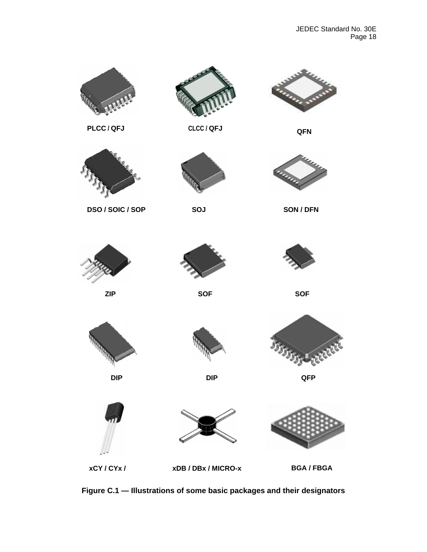

**Figure C.1 — Illustrations of some basic packages and their designators**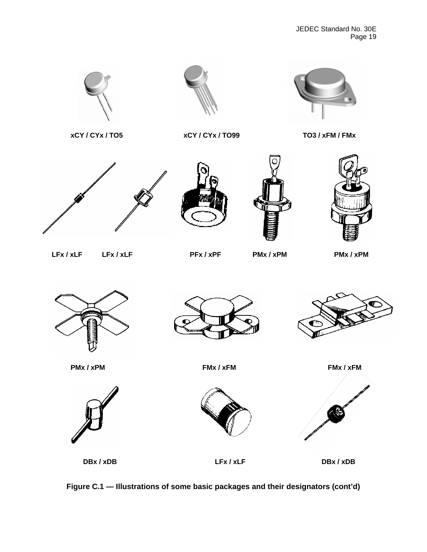

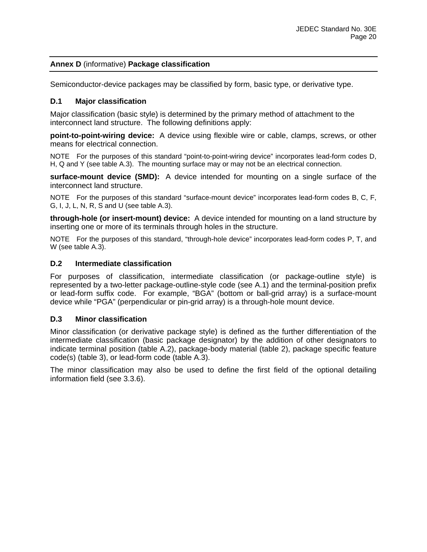#### **Annex D** (informative) **Package classification**

Semiconductor-device packages may be classified by form, basic type, or derivative type.

#### **D.1 Major classification**

Major classification (basic style) is determined by the primary method of attachment to the interconnect land structure. The following definitions apply:

**point-to-point-wiring device:** A device using flexible wire or cable, clamps, screws, or other means for electrical connection.

NOTE For the purposes of this standard "point-to-point-wiring device" incorporates lead-form codes D, H, Q and Y (see table A.3). The mounting surface may or may not be an electrical connection.

**surface-mount device (SMD):** A device intended for mounting on a single surface of the interconnect land structure.

NOTE For the purposes of this standard "surface-mount device" incorporates lead-form codes B, C, F, G, I, J, L, N, R, S and U (see table A.3).

**through-hole (or insert-mount) device:** A device intended for mounting on a land structure by inserting one or more of its terminals through holes in the structure.

NOTE For the purposes of this standard, "through-hole device" incorporates lead-form codes P, T, and W (see table A.3).

#### **D.2 Intermediate classification**

For purposes of classification, intermediate classification (or package-outline style) is represented by a two-letter package-outline-style code (see A.1) and the terminal-position prefix or lead-form suffix code. For example, "BGA" (bottom or ball-grid array) is a surface-mount device while "PGA" (perpendicular or pin-grid array) is a through-hole mount device.

#### **D.3 Minor classification**

Minor classification (or derivative package style) is defined as the further differentiation of the intermediate classification (basic package designator) by the addition of other designators to indicate terminal position (table A.2), package-body material (table 2), package specific feature code(s) (table 3), or lead-form code (table A.3).

The minor classification may also be used to define the first field of the optional detailing information field (see 3.3.6).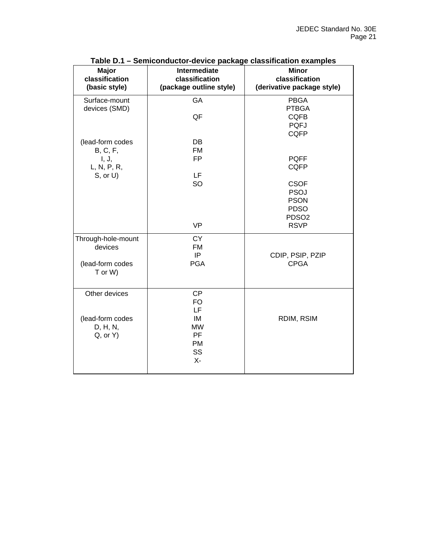| <b>Major</b><br>classification<br>(basic style) | <b>Intermediate</b><br>classification<br>(package outline style) | <b>Minor</b><br>classification<br>(derivative package style) |
|-------------------------------------------------|------------------------------------------------------------------|--------------------------------------------------------------|
| Surface-mount                                   | GA                                                               | <b>PBGA</b>                                                  |
| devices (SMD)                                   |                                                                  | <b>PTBGA</b>                                                 |
|                                                 | QF                                                               | <b>CQFB</b>                                                  |
|                                                 |                                                                  | <b>PQFJ</b><br><b>CQFP</b>                                   |
| (lead-form codes                                | <b>DB</b>                                                        |                                                              |
| <b>B</b> , C, F,                                | <b>FM</b>                                                        |                                                              |
| I, J,                                           | <b>FP</b>                                                        | <b>PQFF</b>                                                  |
| L, N, P, R,                                     |                                                                  | <b>CQFP</b>                                                  |
| $S$ , or $U$ )                                  | <b>LF</b>                                                        |                                                              |
|                                                 | SO                                                               | <b>CSOF</b>                                                  |
|                                                 |                                                                  | <b>PSOJ</b><br><b>PSON</b>                                   |
|                                                 |                                                                  | <b>PDSO</b>                                                  |
|                                                 |                                                                  | PDSO <sub>2</sub>                                            |
|                                                 | <b>VP</b>                                                        | <b>RSVP</b>                                                  |
| Through-hole-mount                              | <b>CY</b>                                                        |                                                              |
| devices                                         | <b>FM</b>                                                        |                                                              |
|                                                 | IP                                                               | CDIP, PSIP, PZIP                                             |
| (lead-form codes<br>T or W)                     | <b>PGA</b>                                                       | <b>CPGA</b>                                                  |
| Other devices                                   | <b>CP</b>                                                        |                                                              |
|                                                 | <b>FO</b>                                                        |                                                              |
|                                                 | LF                                                               |                                                              |
| (lead-form codes<br>D, H, N,                    | IM<br><b>MW</b>                                                  | RDIM, RSIM                                                   |
| $Q$ , or $Y$ )                                  | PF                                                               |                                                              |
|                                                 | <b>PM</b>                                                        |                                                              |
|                                                 | SS                                                               |                                                              |
|                                                 | $X -$                                                            |                                                              |
|                                                 |                                                                  |                                                              |

#### **Table D.1 – Semiconductor-device package classification examples**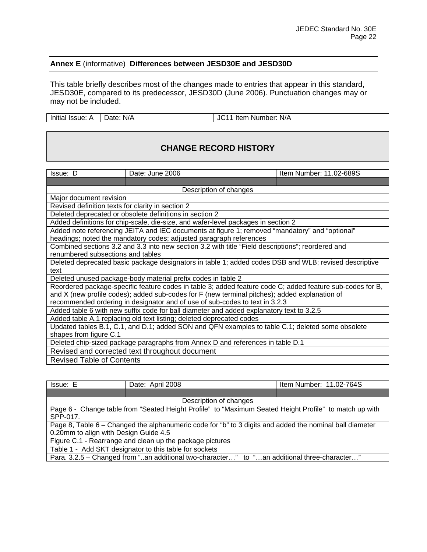#### **Annex E** (informative) **Differences between JESD30E and JESD30D**

This table briefly describes most of the changes made to entries that appear in this standard, JESD30E, compared to its predecessor, JESD30D (June 2006). Punctuation changes may or may not be included.

Initial Issue: A | Date: N/A | JC11 Item Number: N/A

### **CHANGE RECORD HISTORY**

| Issue: D                                                                                                  | Date: June 2006                                                                                   | Item Number: 11.02-689S |  |
|-----------------------------------------------------------------------------------------------------------|---------------------------------------------------------------------------------------------------|-------------------------|--|
|                                                                                                           |                                                                                                   |                         |  |
|                                                                                                           | Description of changes                                                                            |                         |  |
| Major document revision                                                                                   |                                                                                                   |                         |  |
| Revised definition texts for clarity in section 2                                                         |                                                                                                   |                         |  |
|                                                                                                           | Deleted deprecated or obsolete definitions in section 2                                           |                         |  |
|                                                                                                           | Added definitions for chip-scale, die-size, and wafer-level packages in section 2                 |                         |  |
|                                                                                                           | Added note referencing JEITA and IEC documents at figure 1; removed "mandatory" and "optional"    |                         |  |
|                                                                                                           | headings; noted the mandatory codes; adjusted paragraph references                                |                         |  |
|                                                                                                           | Combined sections 3.2 and 3.3 into new section 3.2 with title "Field descriptions"; reordered and |                         |  |
| renumbered subsections and tables                                                                         |                                                                                                   |                         |  |
| Deleted deprecated basic package designators in table 1; added codes DSB and WLB; revised descriptive     |                                                                                                   |                         |  |
| text                                                                                                      |                                                                                                   |                         |  |
| Deleted unused package-body material prefix codes in table 2                                              |                                                                                                   |                         |  |
| Reordered package-specific feature codes in table 3; added feature code C; added feature sub-codes for B, |                                                                                                   |                         |  |
| and X (new profile codes); added sub-codes for F (new terminal pitches); added explanation of             |                                                                                                   |                         |  |
| recommended ordering in designator and of use of sub-codes to text in 3.2.3                               |                                                                                                   |                         |  |
| Added table 6 with new suffix code for ball diameter and added explanatory text to 3.2.5                  |                                                                                                   |                         |  |
| Added table A.1 replacing old text listing; deleted deprecated codes                                      |                                                                                                   |                         |  |
| Updated tables B.1, C.1, and D.1; added SON and QFN examples to table C.1; deleted some obsolete          |                                                                                                   |                         |  |
| shapes from figure C.1                                                                                    |                                                                                                   |                         |  |
|                                                                                                           | Deleted chip-sized package paragraphs from Annex D and references in table D.1                    |                         |  |
| Revised and corrected text throughout document                                                            |                                                                                                   |                         |  |
| <b>Revised Table of Contents</b>                                                                          |                                                                                                   |                         |  |

| Issue: E                                                                                                | Date: April 2008       | Item Number: 11.02-764S                                                                     |  |
|---------------------------------------------------------------------------------------------------------|------------------------|---------------------------------------------------------------------------------------------|--|
|                                                                                                         |                        |                                                                                             |  |
|                                                                                                         | Description of changes |                                                                                             |  |
| Page 6 - Change table from "Seated Height Profile" to "Maximum Seated Height Profile" to match up with  |                        |                                                                                             |  |
| SPP-017.                                                                                                |                        |                                                                                             |  |
| Page 8, Table 6 – Changed the alphanumeric code for "b" to 3 digits and added the nominal ball diameter |                        |                                                                                             |  |
| 0.20mm to align with Design Guide 4.5                                                                   |                        |                                                                                             |  |
| Figure C.1 - Rearrange and clean up the package pictures                                                |                        |                                                                                             |  |
| Table 1 - Add SKT designator to this table for sockets                                                  |                        |                                                                                             |  |
|                                                                                                         |                        | Para. 3.2.5 – Changed from "an additional two-character" to "an additional three-character" |  |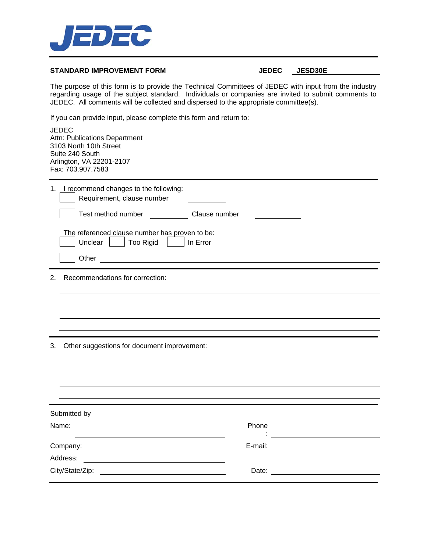

#### STANDARD IMPROVEMENT FORM **JEDEC** JESD30E

The purpose of this form is to provide the Technical Committees of JEDEC with input from the industry regarding usage of the subject standard. Individuals or companies are invited to submit comments to JEDEC. All comments will be collected and dispersed to the appropriate committee(s).

If you can provide input, please complete this form and return to:

| JEDEC<br>Attn: Publications Department<br>3103 North 10th Street<br>Suite 240 South<br>Arlington, VA 22201-2107<br>Fax: 703.907.7583                                                                                                                                                                                                |                                                                                                                                                                                                                                               |  |
|-------------------------------------------------------------------------------------------------------------------------------------------------------------------------------------------------------------------------------------------------------------------------------------------------------------------------------------|-----------------------------------------------------------------------------------------------------------------------------------------------------------------------------------------------------------------------------------------------|--|
| 1. I recommend changes to the following:<br>Requirement, clause number<br>Test method number Clause number<br>The referenced clause number has proven to be:<br>Unclear     Too Rigid     In Error<br><u> 1980 - Jan Stein Stein Stein Stein Stein Stein Stein Stein Stein Stein Stein Stein Stein Stein Stein Stein S</u><br>Other |                                                                                                                                                                                                                                               |  |
| Recommendations for correction:<br>2 <sup>1</sup>                                                                                                                                                                                                                                                                                   |                                                                                                                                                                                                                                               |  |
| 3. Other suggestions for document improvement:                                                                                                                                                                                                                                                                                      |                                                                                                                                                                                                                                               |  |
| Submitted by                                                                                                                                                                                                                                                                                                                        |                                                                                                                                                                                                                                               |  |
| Name:                                                                                                                                                                                                                                                                                                                               | Phone<br><u> : a construction de la propriété de la propriété de la propriété de la propriété de la propriété de la propriété de la propriété de la propriété de la propriété de la propriété de la propriété de la propriété de la propr</u> |  |
|                                                                                                                                                                                                                                                                                                                                     |                                                                                                                                                                                                                                               |  |
| Address:                                                                                                                                                                                                                                                                                                                            |                                                                                                                                                                                                                                               |  |
|                                                                                                                                                                                                                                                                                                                                     |                                                                                                                                                                                                                                               |  |